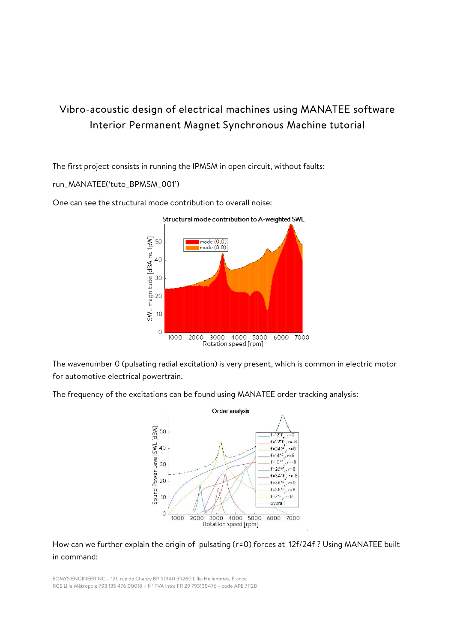## Vibro-acoustic design of electrical machines using MANATEE software Interior Permanent Magnet Synchronous Machine tutorial

The first project consists in running the IPMSM in open circuit, without faults:

run\_MANATEE('tuto\_BPMSM\_001')



One can see the structural mode contribution to overall noise:

The wavenumber 0 (pulsating radial excitation) is very present, which is common in electric motor for automotive electrical powertrain.

The frequency of the excitations can be found using MANATEE order tracking analysis:



How can we further explain the origin of pulsating (r=0) forces at 12f/24f ? Using MANATEE built in command: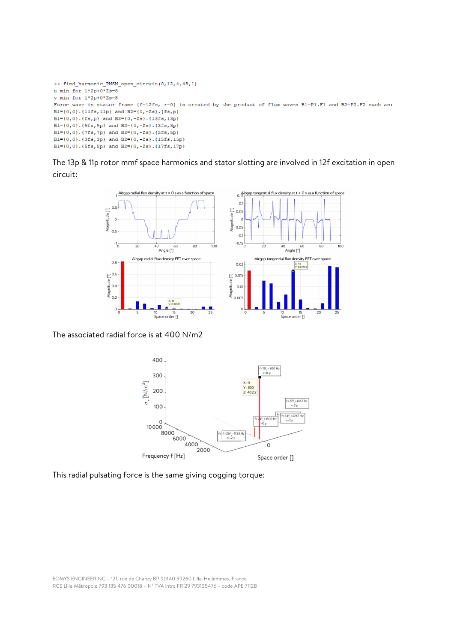```
>> find harmonic PMSM open circuit (0,12,4,48,1)
u min for 1*2p+0*2s=8v min for 1*2p+0*2s=8Force wave in stator frame {f=12fs, r=0} is created by the product of flux waves B1=P1.F1 and B2=P2.F2 such as:
Bl={0,0}.{1lfs,1lp} and B2={0,-Zs}.{fs,p}
Bl={0,0}.{fs,p} and B2={0,-2s}.{13fs,13p}
Bl={0,0}.{9fs,9p} and B2={0,-Zs}.{3fs,3p}
Bl={0,0}.{7fs,7p} and B2={0,-2s}.{5fs,5p}
Bl={0,0}.{3fs,3p} and B2={0,-Zs}.{15fs,15p}
Bl={0,0}.{5fs,5p} and B2={0,-2s}.{17fs,17p}
```
The 13p & 11p rotor mmf space harmonics and stator slotting are involved in 12f excitation in open circuit:



The associated radial force is at 400 N/m2



This radial pulsating force is the same giving cogging torque: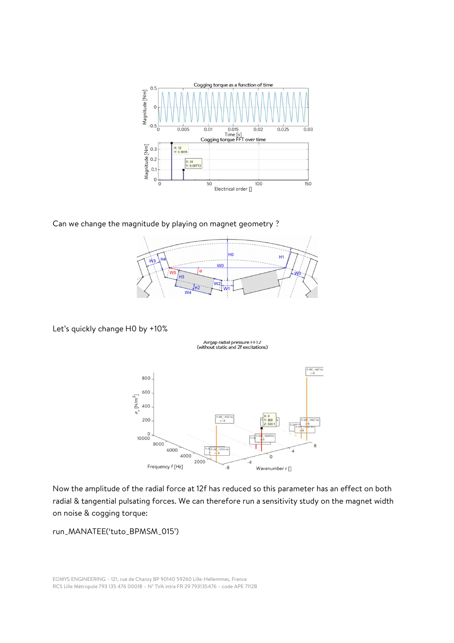

Can we change the magnitude by playing on magnet geometry ?



Let's quickly change H0 by +10%

Airgap radial pressure FF12<br>(without static and 2f excitations)



Now the amplitude of the radial force at 12f has reduced so this parameter has an effect on both radial & tangential pulsating forces. We can therefore run a sensitivity study on the magnet width on noise & cogging torque:

run\_MANATEE('tuto\_BPMSM\_015')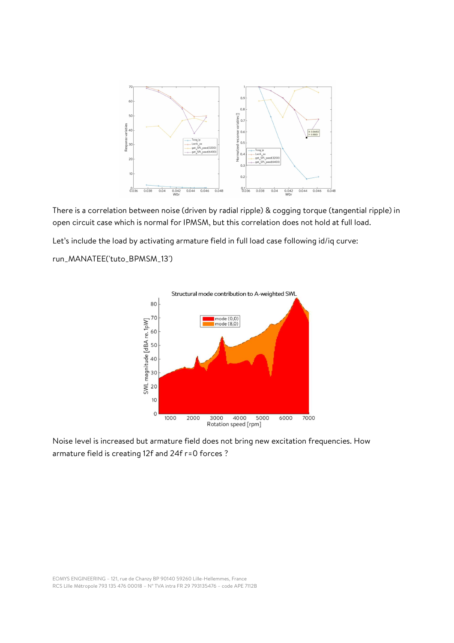

There is a correlation between noise (driven by radial ripple) & cogging torque (tangential ripple) in open circuit case which is normal for IPMSM, but this correlation does not hold at full load.

Let's include the load by activating armature field in full load case following id/iq curve:

## run\_MANATEE('tuto\_BPMSM\_13')



Noise level is increased but armature field does not bring new excitation frequencies. How armature field is creating 12f and 24f r=0 forces ?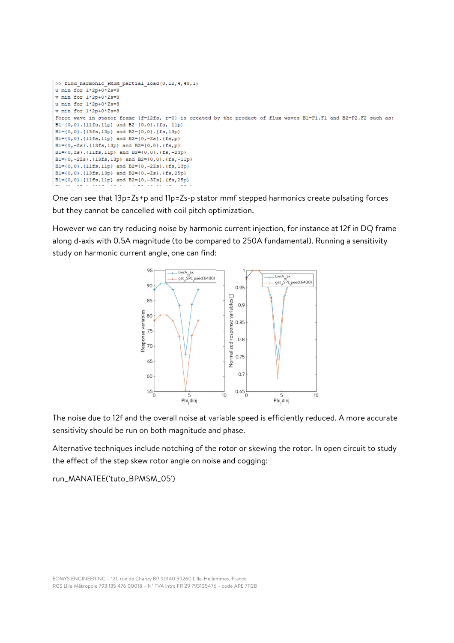```
>> find harmonic PMSM partial load(0,12,4,48,1)
u min for 1*2p+0*2s=8v min for 1*2p+0*2s=8u min for 1*2n+0*2s=8v min for 1*2p+0*Zs=8
Force wave in stator frame {f=12fs, r=0} is created by the product of flux waves B1=P1.F1 and B2=P2.F2 such as:
Bl={0,0}.{1lfs, llp} and B2={0,0}.{fs,-llp}
BI = \{0, 0\}, \{13fs, 13p\} and B2 = \{0, 0\}, \{fs, 13p\}Bl={0,0}.{1lfs,1lp} and B2={0,-Zs}.{fs,p}
Bl={0,-Zs}.{13fs,13p} and B2={0,0}.{fs,p}
Bl={0, Zs}.{1lfs, 1lp} and B2={0, 0}.{fs, -23p}
Bl={0,-2Zs}.{13fs,13p} and B2={0,0}.{fs,-11p}
Bl={0,0},{llfs,llp} and B2={0,-2Zs},{fs,l3p}
Bl={0,0}.{13fs,13p} and B2={0,-Zs}.{fs,25p}
Bl={0,0}.{1lfs,1lp} and B2={0,-3Zs}.{fs,25p}
```
One can see that 13p=Zs+p and 11p=Zs-p stator mmf stepped harmonics create pulsating forces but they cannot be cancelled with coil pitch optimization.

However we can try reducing noise by harmonic current injection, for instance at 12f in DQ frame along d-axis with 0.5A magnitude (to be compared to 250A fundamental). Running a sensitivity study on harmonic current angle, one can find:



The noise due to 12f and the overall noise at variable speed is efficiently reduced. A more accurate sensitivity should be run on both magnitude and phase.

Alternative techniques include notching of the rotor or skewing the rotor. In open circuit to study the effect of the step skew rotor angle on noise and cogging:

run\_MANATEE('tuto\_BPMSM\_05')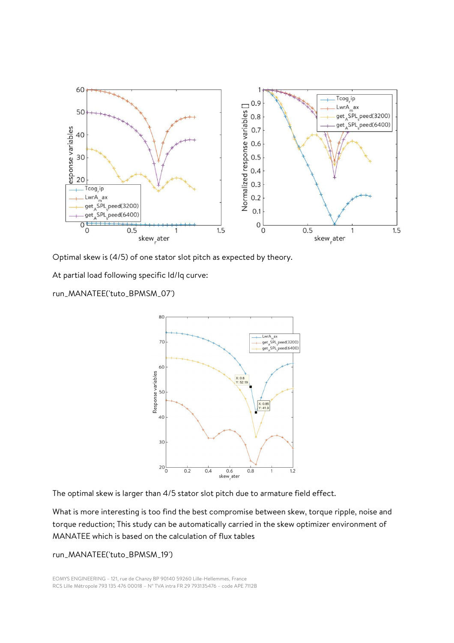

Optimal skew is (4/5) of one stator slot pitch as expected by theory.

At partial load following specific Id/Iq curve:

run\_MANATEE('tuto\_BPMSM\_07')



The optimal skew is larger than 4/5 stator slot pitch due to armature field effect.

What is more interesting is too find the best compromise between skew, torque ripple, noise and torque reduction; This study can be automatically carried in the skew optimizer environment of MANATEE which is based on the calculation of flux tables

## run\_MANATEE('tuto\_BPMSM\_19')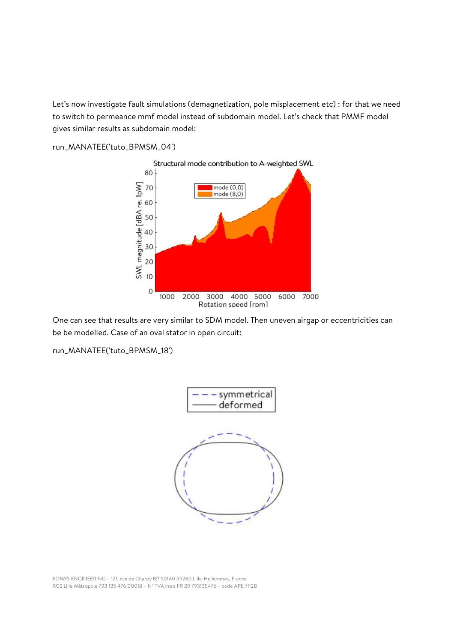Let's now investigate fault simulations (demagnetization, pole misplacement etc) : for that we need to switch to permeance mmf model instead of subdomain model. Let's check that PMMF model gives similar results as subdomain model:

run\_MANATEE('tuto\_BPMSM\_04')



One can see that results are very similar to SDM model. Then uneven airgap or eccentricities can be be modelled. Case of an oval stator in open circuit:

run\_MANATEE('tuto\_BPMSM\_18')